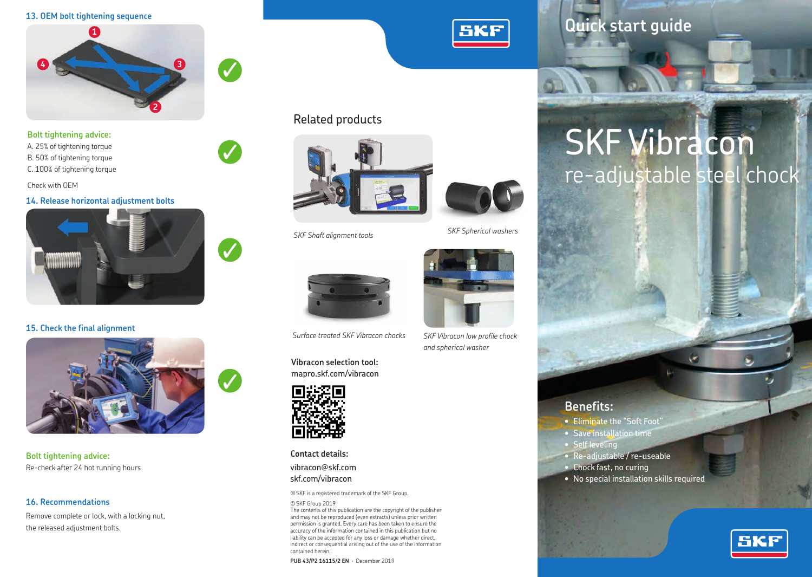

✓

✓

✓

**Bolt tightening advice:**

A. 25% of tightening torque B. 50% of tightening torque C. 100% of tightening torque

Check with OEM

#### **14. Release horizontal adjustment bolts**



**15. Check the final alignment**



**Bolt tightening advice:** Re-check after 24 hot running hours

#### **16. Recommendations**

Remove complete or lock, with a locking nut, the released adjustment bolts.



## 13. OEM bolt tightening sequence<br> **A**

# SKF Vibracon re-adjustable steel chock

Related products





*Surface treated SKF Vibracon chocks SKF Vibracon low profile chock*

**Vibracon selection tool:** mapro.skf.com/vibracon



**Contact details:**

vibracon@skf.com skf.com/vibracon

® SKF is a registered trademark of the SKF Group.

#### © SKF Group 2019

The contents of this publication are the copyright of the publisher and may not be reproduced (even extracts) unless prior written permission is granted. Every care has been taken to ensure the accuracy of the information contained in this publication but no liability can be accepted for any loss or damage whether direct, indirect or consequential arising out of the use of the information contained herein.

**PUB 43/P2 16115/2 EN** · December 2019



*and spherical washer*

### **Benefits:**

- Eliminate the "Soft Foot"
- Save installation time
- Self leveling
- Re-adjustable / re-useable
- Chock fast, no curing
- No special installation skills required